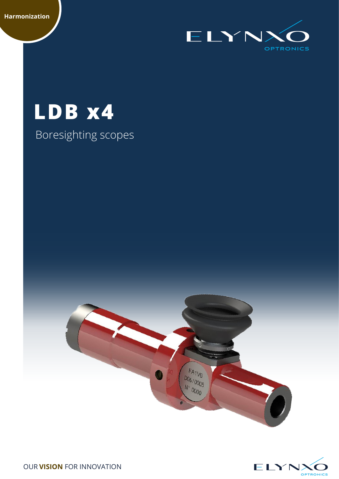

# **LDB x4**

## Boresighting scopes

 $FA<sub>1</sub>V<sub>6</sub>$ D<sub>06</sub>/0005 N 0000



OUR **VISION** FOR INNOVATION